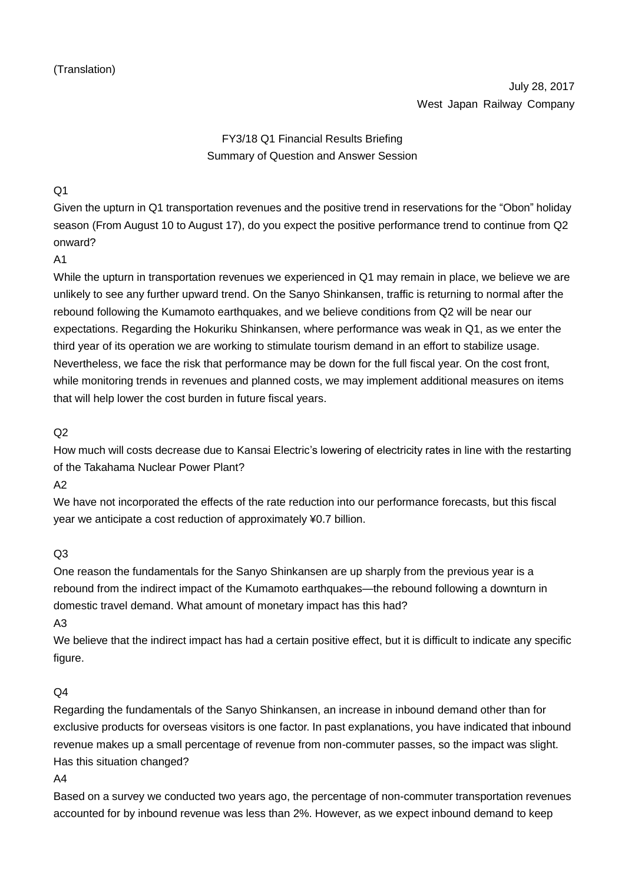# FY3/18 Q1 Financial Results Briefing Summary of Question and Answer Session

# $O<sub>1</sub>$

Given the upturn in Q1 transportation revenues and the positive trend in reservations for the "Obon" holiday season (From August 10 to August 17), do you expect the positive performance trend to continue from Q2 onward?

#### A1

While the upturn in transportation revenues we experienced in Q1 may remain in place, we believe we are unlikely to see any further upward trend. On the Sanyo Shinkansen, traffic is returning to normal after the rebound following the Kumamoto earthquakes, and we believe conditions from Q2 will be near our expectations. Regarding the Hokuriku Shinkansen, where performance was weak in Q1, as we enter the third year of its operation we are working to stimulate tourism demand in an effort to stabilize usage. Nevertheless, we face the risk that performance may be down for the full fiscal year. On the cost front, while monitoring trends in revenues and planned costs, we may implement additional measures on items that will help lower the cost burden in future fiscal years.

# $O<sub>2</sub>$

How much will costs decrease due to Kansai Electric's lowering of electricity rates in line with the restarting of the Takahama Nuclear Power Plant?

 $A2$ 

We have not incorporated the effects of the rate reduction into our performance forecasts, but this fiscal year we anticipate a cost reduction of approximately ¥0.7 billion.

# Q3

One reason the fundamentals for the Sanyo Shinkansen are up sharply from the previous year is a rebound from the indirect impact of the Kumamoto earthquakes—the rebound following a downturn in domestic travel demand. What amount of monetary impact has this had?

#### A3

We believe that the indirect impact has had a certain positive effect, but it is difficult to indicate any specific figure.

# $Q<sub>4</sub>$

Regarding the fundamentals of the Sanyo Shinkansen, an increase in inbound demand other than for exclusive products for overseas visitors is one factor. In past explanations, you have indicated that inbound revenue makes up a small percentage of revenue from non-commuter passes, so the impact was slight. Has this situation changed?

A4

Based on a survey we conducted two years ago, the percentage of non-commuter transportation revenues accounted for by inbound revenue was less than 2%. However, as we expect inbound demand to keep